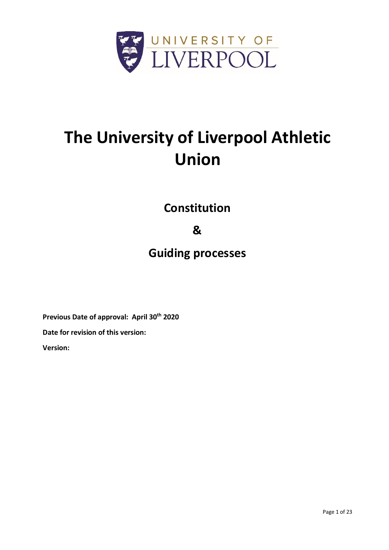

# **The University of Liverpool Athletic Union**

**Constitution**

# **&**

# **Guiding processes**

**Previous Date of approval: April 30th 2020**

**Date for revision of this version:**

**Version:**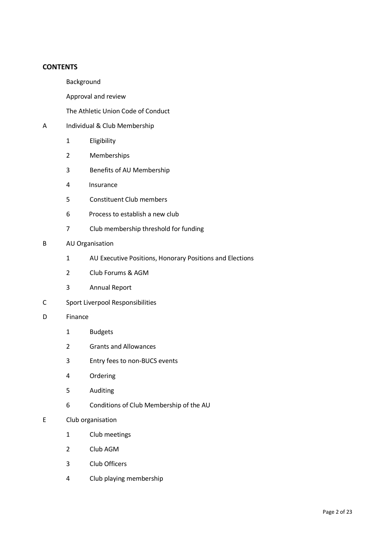#### **CONTENTS**

- Background
- Approval and review
- The Athletic Union Code of Conduct
- A Individual & Club Membership
	- 1 Eligibility
	- 2 Memberships
	- 3 Benefits of AU Membership
	- 4 Insurance
	- 5 Constituent Club members
	- 6 Process to establish a new club
	- 7 Club membership threshold for funding
- B AU Organisation
	- 1 AU Executive Positions, Honorary Positions and Elections
	- 2 Club Forums & AGM
	- 3 Annual Report
- C Sport Liverpool Responsibilities
- D Finance
	- 1 Budgets
	- 2 Grants and Allowances
	- 3 Entry fees to non-BUCS events
	- 4 Ordering
	- 5 Auditing
	- 6 Conditions of Club Membership of the AU

#### E Club organisation

- 1 Club meetings
- 2 Club AGM
- 3 Club Officers
- 4 Club playing membership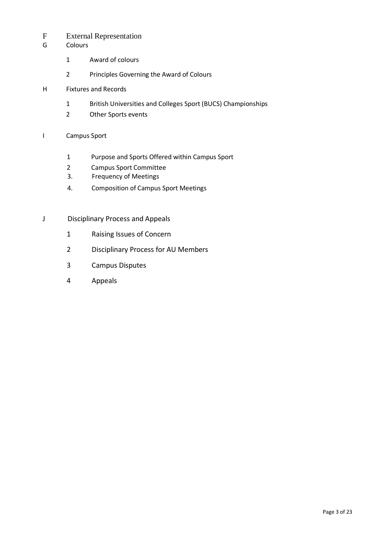# F External Representation

- G Colours
	- 1 Award of colours
	- 2 Principles Governing the Award of Colours
- H Fixtures and Records
	- 1 British Universities and Colleges Sport (BUCS) Championships
	- 2 Other Sports events

#### I Campus Sport

- 1 Purpose and Sports Offered within Campus Sport
- 2 Campus Sport Committee
- 3. Frequency of Meetings
- 4. Composition of Campus Sport Meetings
- J Disciplinary Process and Appeals
	- 1 Raising Issues of Concern
	- 2 Disciplinary Process for AU Members
	- 3 Campus Disputes
	- 4 Appeals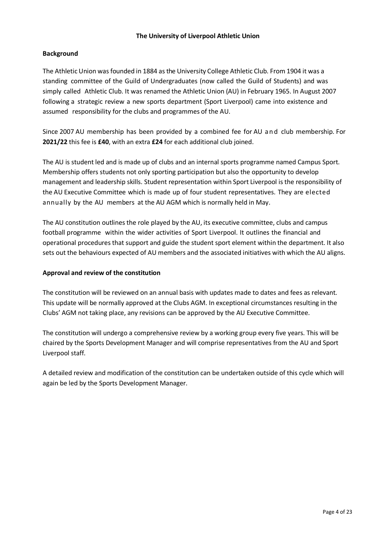#### **The University of Liverpool Athletic Union**

#### **Background**

The Athletic Union was founded in 1884 as the University College Athletic Club. From 1904 it was a standing committee of the Guild of Undergraduates (now called the Guild of Students) and was simply called Athletic Club. It was renamed the Athletic Union (AU) in February 1965. In August 2007 following a strategic review a new sports department (Sport Liverpool) came into existence and assumed responsibility for the clubs and programmes of the AU.

Since 2007 AU membership has been provided by a combined fee for AU and club membership. For **2021/22** this fee is **£40**, with an extra **£24** for each additional club joined.

The AU is student led and is made up of clubs and an internal sports programme named Campus Sport. Membership offers students not only sporting participation but also the opportunity to develop management and leadership skills. Student representation within Sport Liverpool is the responsibility of the AU Executive Committee which is made up of four student representatives. They are elected annually by the AU members at the AU AGM which is normally held in May.

The AU constitution outlines the role played by the AU, its executive committee, clubs and campus football programme within the wider activities of Sport Liverpool. It outlines the financial and operational procedures that support and guide the student sport element within the department. It also sets out the behaviours expected of AU members and the associated initiatives with which the AU aligns.

#### **Approval and review of the constitution**

The constitution will be reviewed on an annual basis with updates made to dates and fees as relevant. This update will be normally approved at the Clubs AGM. In exceptional circumstances resulting in the Clubs' AGM not taking place, any revisions can be approved by the AU Executive Committee.

The constitution will undergo a comprehensive review by a working group every five years. This will be chaired by the Sports Development Manager and will comprise representatives from the AU and Sport Liverpool staff.

A detailed review and modification of the constitution can be undertaken outside of this cycle which will again be led by the Sports Development Manager.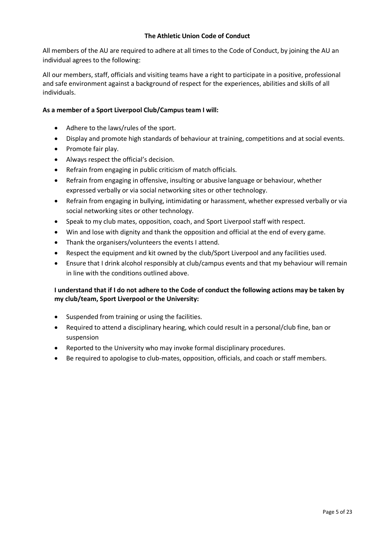#### **The Athletic Union Code of Conduct**

All members of the AU are required to adhere at all times to the Code of Conduct, by joining the AU an individual agrees to the following:

All our members, staff, officials and visiting teams have a right to participate in a positive, professional and safe environment against a background of respect for the experiences, abilities and skills of all individuals.

### **As a member of a Sport Liverpool Club/Campus team I will:**

- Adhere to the laws/rules of the sport.
- Display and promote high standards of behaviour at training, competitions and at social events.
- Promote fair play.
- Always respect the official's decision.
- Refrain from engaging in public criticism of match officials.
- Refrain from engaging in offensive, insulting or abusive language or behaviour, whether expressed verbally or via social networking sites or other technology.
- Refrain from engaging in bullying, intimidating or harassment, whether expressed verbally or via social networking sites or other technology.
- Speak to my club mates, opposition, coach, and Sport Liverpool staff with respect.
- Win and lose with dignity and thank the opposition and official at the end of every game.
- Thank the organisers/volunteers the events I attend.
- Respect the equipment and kit owned by the club/Sport Liverpool and any facilities used.
- Ensure that I drink alcohol responsibly at club/campus events and that my behaviour will remain in line with the conditions outlined above.

# **I understand that if I do not adhere to the Code of conduct the following actions may be taken by my club/team, Sport Liverpool or the University:**

- Suspended from training or using the facilities.
- Required to attend a disciplinary hearing, which could result in a personal/club fine, ban or suspension
- Reported to the University who may invoke formal disciplinary procedures.
- Be required to apologise to club-mates, opposition, officials, and coach or staff members.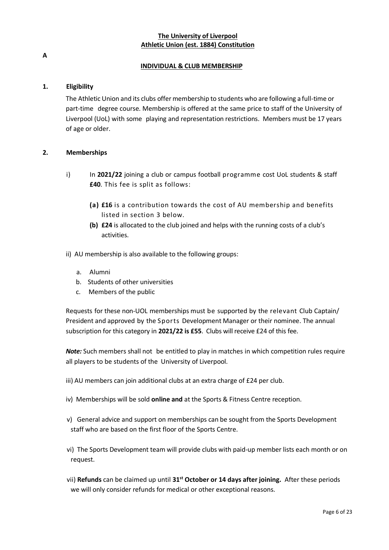# **The University of Liverpool Athletic Union (est. 1884) Constitution**

**A**

### **INDIVIDUAL & CLUB MEMBERSHIP**

#### **1. Eligibility**

The Athletic Union and its clubs offer membership to students who are following a full-time or part-time degree course. Membership is offered at the same price to staff of the University of Liverpool (UoL) with some playing and representation restrictions. Members must be 17 years of age or older.

#### **2. Memberships**

- i) In **2021/22** joining a club or campus football programme cost UoL students & staff **£40**. This fee is split as follows:
	- **(a) £16** is a contribution towards the cost of AU membership and benefits listed in section 3 below.
	- **(b) £24** is allocated to the club joined and helps with the running costs of a club's activities.
- ii) AU membership is also available to the following groups:
	- a. Alumni
	- b. Students of other universities
	- c. Members of the public

Requests for these non-UOL memberships must be supported by the relevant Club Captain/ President and approved by the Sports Development Manager or their nominee. The annual subscription for this category in **2021/22 is £55**. Clubs will receive £24 of this fee.

*Note:* Such members shall not be entitled to play in matches in which competition rules require all players to be students of the University of Liverpool.

- iii) AU members can join additional clubs at an extra charge of £24 per club.
- iv) Memberships will be sold **online and** at the Sports & Fitness Centre reception.
- v) General advice and support on memberships can be sought from the Sports Development staff who are based on the first floor of the Sports Centre.
- vi) The Sports Development team will provide clubs with paid-up member lists each month or on request.
- vii) **Refunds** can be claimed up until **31 st October or 14 days after joining.** After these periods we will only consider refunds for medical or other exceptional reasons.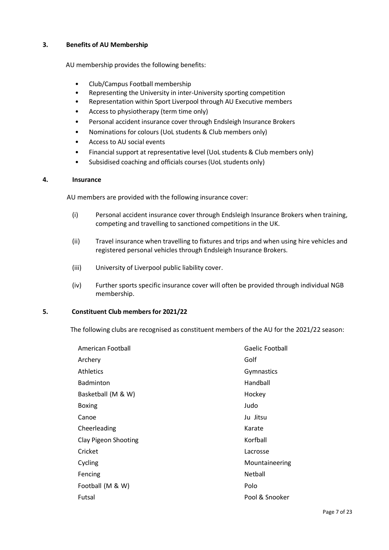#### **3. Benefits of AU Membership**

AU membership provides the following benefits:

- Club/Campus Football membership
- Representing the University in inter-University sporting competition
- Representation within Sport Liverpool through AU Executive members
- Access to physiotherapy (term time only)
- Personal accident insurance cover through Endsleigh Insurance Brokers
- Nominations for colours (UoL students & Club members only)
- Access to AU social events
- Financial support at representative level (UoL students & Club members only)
- Subsidised coaching and officials courses (UoL students only)

#### **4. Insurance**

AU members are provided with the following insurance cover:

- (i) Personal accident insurance cover through Endsleigh Insurance Brokers when training, competing and travelling to sanctioned competitions in the UK.
- (ii) Travel insurance when travelling to fixtures and trips and when using hire vehicles and registered personal vehicles through Endsleigh Insurance Brokers.
- (iii) University of Liverpool public liability cover.
- (iv) Further sports specific insurance cover will often be provided through individual NGB membership.

#### **5. Constituent Club membersfor 2021/22**

The following clubs are recognised as constituent members of the AU for the 2021/22 season:

| American Football    | Gaelic Football |
|----------------------|-----------------|
| Archery              | Golf            |
| Athletics            | Gymnastics      |
| Badminton            | Handball        |
| Basketball (M & W)   | Hockey          |
| <b>Boxing</b>        | Judo            |
| Canoe                | Ju Jitsu        |
| Cheerleading         | Karate          |
| Clay Pigeon Shooting | Korfball        |
| Cricket              | Lacrosse        |
| Cycling              | Mountaineering  |
| Fencing              | Netball         |
| Football (M & W)     | Polo            |
| Futsal               | Pool & Snooker  |
|                      |                 |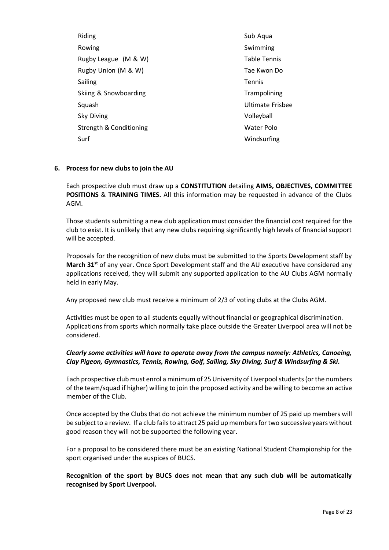Riding Rowing Rugby League (M & W) Rugby Union (M & W) Sailing Skiing & Snowboarding Squash Sky Diving Strength & Conditioning Surf

Sub Aqua Swimming Table Tennis Tae Kwon Do Tennis **Trampolining** Ultimate Frisbee Volleyball Water Polo Windsurfing

#### **6. Process for new clubs to join the AU**

Each prospective club must draw up a **CONSTITUTION** detailing **AIMS, OBJECTIVES, COMMITTEE POSITIONS** & **TRAINING TIMES.** All this information may be requested in advance of the Clubs AGM.

Those students submitting a new club application must consider the financial cost required for the club to exist. It is unlikely that any new clubs requiring significantly high levels of financial support will be accepted.

Proposals for the recognition of new clubs must be submitted to the Sports Development staff by **March 31st** of any year. Once Sport Development staff and the AU executive have considered any applications received, they will submit any supported application to the AU Clubs AGM normally held in early May.

Any proposed new club must receive a minimum of 2/3 of voting clubs at the Clubs AGM.

Activities must be open to all students equally without financial or geographical discrimination. Applications from sports which normally take place outside the Greater Liverpool area will not be considered.

# *Clearly some activities will have to operate away from the campus namely: Athletics, Canoeing, Clay Pigeon, Gymnastics, Tennis, Rowing, Golf, Sailing, Sky Diving, Surf & Windsurfing & Ski.*

Each prospective club must enrol a minimum of 25 University of Liverpool students (or the numbers of the team/squad if higher) willing to join the proposed activity and be willing to become an active member of the Club.

Once accepted by the Clubs that do not achieve the minimum number of 25 paid up members will be subject to a review. If a club fails to attract 25 paid up members for two successive years without good reason they will not be supported the following year.

For a proposal to be considered there must be an existing National Student Championship for the sport organised under the auspices of BUCS.

**Recognition of the sport by BUCS does not mean that any such club will be automatically recognised by Sport Liverpool.**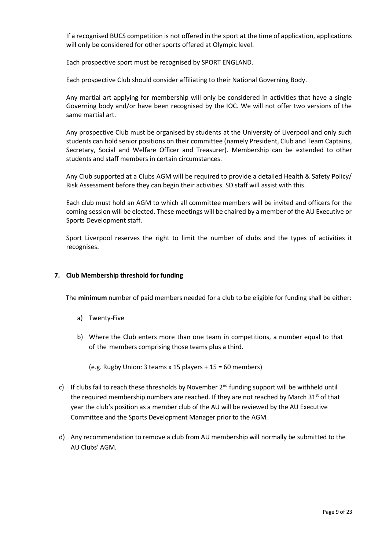If a recognised BUCS competition is not offered in the sport at the time of application, applications will only be considered for other sports offered at Olympic level.

Each prospective sport must be recognised by SPORT ENGLAND.

Each prospective Club should consider affiliating to their National Governing Body.

Any martial art applying for membership will only be considered in activities that have a single Governing body and/or have been recognised by the IOC. We will not offer two versions of the same martial art.

Any prospective Club must be organised by students at the University of Liverpool and only such students can hold senior positions on their committee (namely President, Club and Team Captains, Secretary, Social and Welfare Officer and Treasurer). Membership can be extended to other students and staff members in certain circumstances.

Any Club supported at a Clubs AGM will be required to provide a detailed Health & Safety Policy/ Risk Assessment before they can begin their activities. SD staff will assist with this.

Each club must hold an AGM to which all committee members will be invited and officers for the coming session will be elected. These meetings will be chaired by a member of the AU Executive or Sports Development staff.

Sport Liverpool reserves the right to limit the number of clubs and the types of activities it recognises.

#### **7. Club Membership threshold for funding**

The **minimum** number of paid members needed for a club to be eligible for funding shall be either:

- a) Twenty-Five
- b) Where the Club enters more than one team in competitions, a number equal to that of the members comprising those teams plus a third.

(e.g. Rugby Union: 3 teams x 15 players + 15 = 60 members)

- c) If clubs fail to reach these thresholds by November  $2^{nd}$  funding support will be withheld until the required membership numbers are reached. If they are not reached by March 31 $\mathrm{^{st}}$  of that year the club's position as a member club of the AU will be reviewed by the AU Executive Committee and the Sports Development Manager prior to the AGM.
- d) Any recommendation to remove a club from AU membership will normally be submitted to the AU Clubs' AGM.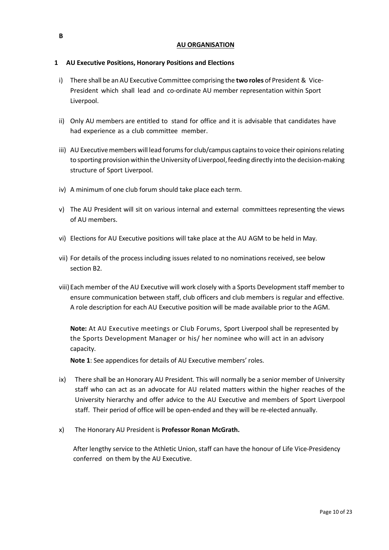### **1 AU Executive Positions, Honorary Positions and Elections**

- i) There shall be an AU Executive Committee comprising the **two roles** of President & Vice-President which shall lead and co-ordinate AU member representation within Sport Liverpool.
- ii) Only AU members are entitled to stand for office and it is advisable that candidates have had experience as a club committee member.
- iii) AU Executive members will lead forums for club/campus captains to voice their opinions relating to sporting provision within the University of Liverpool, feeding directly into the decision-making structure of Sport Liverpool.
- iv) A minimum of one club forum should take place each term.
- v) The AU President will sit on various internal and external committees representing the views of AU members.
- vi) Elections for AU Executive positions will take place at the AU AGM to be held in May.
- vii) For details of the process including issues related to no nominations received, see below section B2.
- viii) Each member of the AU Executive will work closely with a Sports Developmentstaff member to ensure communication between staff, club officers and club members is regular and effective. A role description for each AU Executive position will be made available prior to the AGM.

**Note:** At AU Executive meetings or Club Forums, Sport Liverpool shall be represented by the Sports Development Manager or his/ her nominee who will act in an advisory capacity.

**Note 1**: See appendices for details of AU Executive members' roles.

- ix) There shall be an Honorary AU President. This will normally be a senior member of University staff who can act as an advocate for AU related matters within the higher reaches of the University hierarchy and offer advice to the AU Executive and members of Sport Liverpool staff. Their period of office will be open-ended and they will be re-elected annually.
- x) The Honorary AU President is **Professor Ronan McGrath.**

 After lengthy service to the Athletic Union, staff can have the honour of Life Vice-Presidency conferred on them by the AU Executive.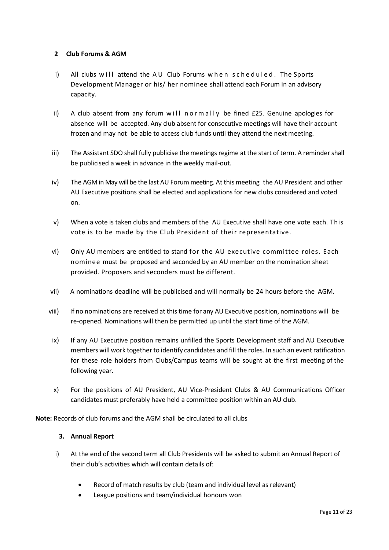### **2 Club Forums & AGM**

- i) All clubs will attend the AU Club Forums w h en scheduled. The Sports Development Manager or his/ her nominee shall attend each Forum in an advisory capacity.
- ii) A club absent from any forum w ill n o  $r$  m ally be fined  $£25$ . Genuine apologies for absence will be accepted. Any club absent for consecutive meetings will have their account frozen and may not be able to access club funds until they attend the next meeting.
- iii) The Assistant SDO shall fully publicise the meetings regime at the start of term. A reminder shall be publicised a week in advance in the weekly mail-out.
- iv) The AGM in May will be the last AU Forum meeting. At this meeting the AU President and other AU Executive positions shall be elected and applications for new clubs considered and voted on.
- v) When a vote is taken clubs and members of the AU Executive shall have one vote each. This vote is to be made by the Club President of their representative.
- vi) Only AU members are entitled to stand for the AU executive committee roles. Each nominee must be proposed and seconded by an AU member on the nomination sheet provided. Proposers and seconders must be different.
- vii) A nominations deadline will be publicised and will normally be 24 hours before the AGM.
- viii) If no nominations are received at this time for any AU Executive position, nominations will be re-opened. Nominations will then be permitted up until the start time of the AGM.
- ix) If any AU Executive position remains unfilled the Sports Development staff and AU Executive members will work together to identify candidates and fill the roles. In such an eventratification for these role holders from Clubs/Campus teams will be sought at the first meeting of the following year.
- x) For the positions of AU President, AU Vice-President Clubs & AU Communications Officer candidates must preferably have held a committee position within an AU club.

**Note:** Records of club forums and the AGM shall be circulated to all clubs

#### **3. Annual Report**

- i) At the end of the second term all Club Presidents will be asked to submit an Annual Report of their club's activities which will contain details of:
	- Record of match results by club (team and individual level as relevant)
	- League positions and team/individual honours won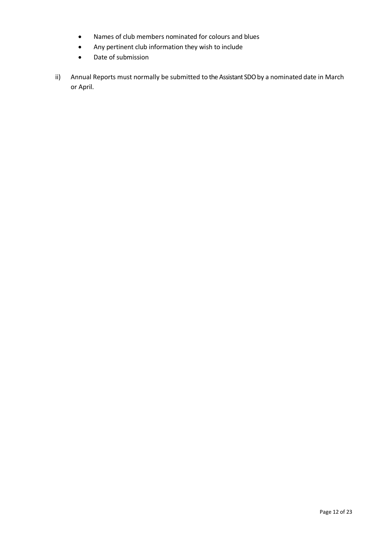- Names of club members nominated for colours and blues
- Any pertinent club information they wish to include
- Date of submission
- ii) Annual Reports must normally be submitted to the Assistant SDO by a nominated date in March or April.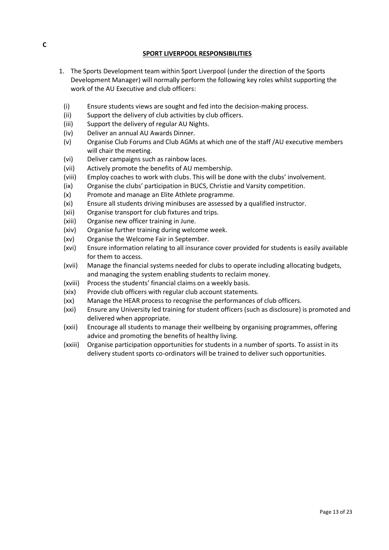#### **SPORT LIVERPOOL RESPONSIBILITIES**

- 1. The Sports Development team within Sport Liverpool (under the direction of the Sports Development Manager) will normally perform the following key roles whilst supporting the work of the AU Executive and club officers:
	- (i) Ensure students views are sought and fed into the decision-making process.
	- (ii) Support the delivery of club activities by club officers.
	- (iii) Support the delivery of regular AU Nights.
	- (iv) Deliver an annual AU Awards Dinner.
	- (v) Organise Club Forums and Club AGMs at which one of the staff /AU executive members will chair the meeting.
	- (vi) Deliver campaigns such as rainbow laces.
	- (vii) Actively promote the benefits of AU membership.
	- (viii) Employ coaches to work with clubs. This will be done with the clubs' involvement.
	- (ix) Organise the clubs' participation in BUCS, Christie and Varsity competition.
	- (x) Promote and manage an Elite Athlete programme.
	- (xi) Ensure all students driving minibuses are assessed by a qualified instructor.
	- (xii) Organise transport for club fixtures and trips.
	- (xiii) Organise new officer training in June.
	- (xiv) Organise further training during welcome week.
	- (xv) Organise the Welcome Fair in September.
	- (xvi) Ensure information relating to all insurance cover provided for students is easily available for them to access.
	- (xvii) Manage the financial systems needed for clubs to operate including allocating budgets, and managing the system enabling students to reclaim money.
	- (xviii) Process the students' financial claims on a weekly basis.
	- (xix) Provide club officers with regular club account statements.
	- (xx) Manage the HEAR process to recognise the performances of club officers.
	- (xxi) Ensure any University led training for student officers (such as disclosure) is promoted and delivered when appropriate.
	- (xxii) Encourage all students to manage their wellbeing by organising programmes, offering advice and promoting the benefits of healthy living.
	- (xxiii) Organise participation opportunities for students in a number of sports. To assist in its delivery student sports co-ordinators will be trained to deliver such opportunities.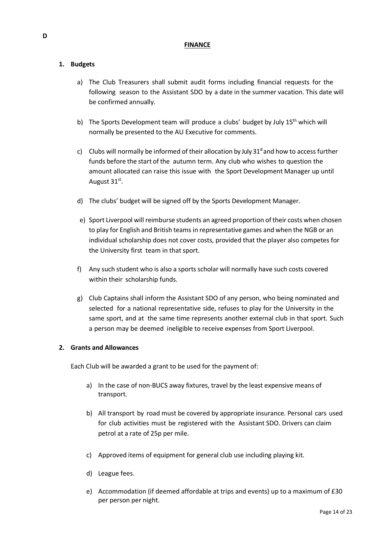#### **FINANCE**

### **1. Budgets**

- a) The Club Treasurers shall submit audit forms including financial requests for the following season to the Assistant SDO by a date in the summer vacation. This date will be confirmed annually.
- b) The Sports Development team will produce a clubs' budget by July 15<sup>th</sup> which will normally be presented to the AU Executive for comments.
- c) Clubs will normally be informed of their allocation by July  $31<sup>st</sup>$  and how to access further funds before the start of the autumn term. Any club who wishes to question the amount allocated can raise this issue with the Sport Development Manager up until August 31st.
- d) The clubs' budget will be signed off by the Sports Development Manager.
- e) Sport Liverpool will reimburse students an agreed proportion of their costs when chosen to play for English and British teams in representative games and when the NGB or an individual scholarship does not cover costs, provided that the player also competes for the University first team in that sport.
- f) Any such student who is also a sports scholar will normally have such costs covered within their scholarship funds.
- g) Club Captains shall inform the Assistant SDO of any person, who being nominated and selected for a national representative side, refuses to play for the University in the same sport, and at the same time represents another external club in that sport. Such a person may be deemed ineligible to receive expenses from Sport Liverpool.

#### **2. Grants and Allowances**

Each Club will be awarded a grant to be used for the payment of:

- a) In the case of non-BUCS away fixtures, travel by the least expensive means of transport.
- b) All transport by road must be covered by appropriate insurance. Personal cars used for club activities must be registered with the Assistant SDO. Drivers can claim petrol at a rate of 25p per mile.
- c) Approved items of equipment for general club use including playing kit.
- d) League fees.
- e) Accommodation (if deemed affordable at trips and events) up to a maximum of £30 per person per night.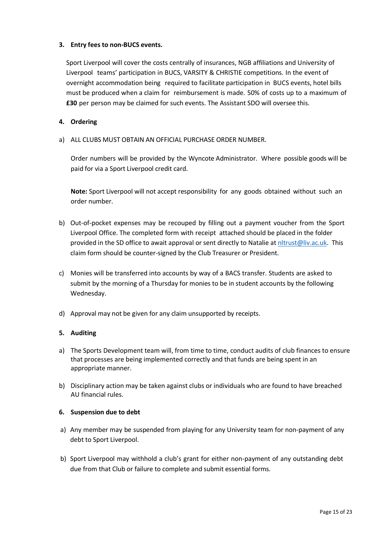### **3. Entry fees to non-BUCS events.**

Sport Liverpool will cover the costs centrally of insurances, NGB affiliations and University of Liverpool teams' participation in BUCS, VARSITY & CHRISTIE competitions. In the event of overnight accommodation being required to facilitate participation in BUCS events, hotel bills must be produced when a claim for reimbursement is made. 50% of costs up to a maximum of **£30** per person may be claimed for such events. The Assistant SDO will oversee this.

#### **4. Ordering**

a) ALL CLUBS MUST OBTAIN AN OFFICIAL PURCHASE ORDER NUMBER.

Order numbers will be provided by the Wyncote Administrator. Where possible goods will be paid for via a Sport Liverpool credit card.

**Note:** Sport Liverpool will not accept responsibility for any goods obtained without such an order number.

- b) Out-of-pocket expenses may be recouped by filling out a payment voucher from the Sport Liverpool Office. The completed form with receipt attached should be placed in the folder provided in the SD office to await approval or sent directly to Natalie a[t nltrust@liv.ac.uk.](mailto:nltrust@liv.ac.uk) This claim form should be counter-signed by the Club Treasurer or President.
- c) Monies will be transferred into accounts by way of a BACS transfer. Students are asked to submit by the morning of a Thursday for monies to be in student accounts by the following Wednesday.
- d) Approval may not be given for any claim unsupported by receipts.

#### **5. Auditing**

- a) The Sports Development team will, from time to time, conduct audits of club finances to ensure that processes are being implemented correctly and that funds are being spent in an appropriate manner.
- b) Disciplinary action may be taken against clubs or individuals who are found to have breached AU financial rules.

#### **6. Suspension due to debt**

- a) Any member may be suspended from playing for any University team for non-payment of any debt to Sport Liverpool.
- b) Sport Liverpool may withhold a club's grant for either non-payment of any outstanding debt due from that Club or failure to complete and submit essential forms.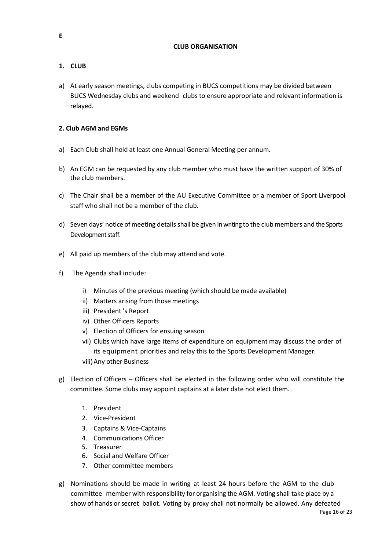#### **CLUB ORGANISATION**

# **1. CLUB**

a) At early season meetings, clubs competing in BUCS competitions may be divided between BUCS Wednesday clubs and weekend clubs to ensure appropriate and relevant information is relayed.

# **2. Club AGM and EGMs**

- a) Each Club shall hold at least one Annual General Meeting per annum.
- b) An EGM can be requested by any club member who must have the written support of 30% of the club members.
- c) The Chair shall be a member of the AU Executive Committee or a member of Sport Liverpool staff who shall not be a member of the club.
- d) Seven days' notice of meeting details shall be given in writing to the club members and the Sports Development staff.
- e) All paid up members of the club may attend and vote.
- f) The Agenda shall include:
	- i) Minutes of the previous meeting (which should be made available)
	- ii) Matters arising from those meetings
	- iii) President 's Report
	- iv) Other Officers Reports
	- v) Election of Officers for ensuing season
	- vii) Clubs which have large items of expenditure on equipment may discuss the order of its equipment priorities and relay this to the Sports Development Manager. viii)Any other Business
- g) Election of Officers Officers shall be elected in the following order who will constitute the committee. Some clubs may appoint captains at a later date not elect them.
	- 1. President
	- 2. Vice-President
	- 3. Captains & Vice-Captains
	- 4. Communications Officer
	- 5. Treasurer
	- 6. Social and Welfare Officer
	- 7. Other committee members
- g) Nominations should be made in writing at least 24 hours before the AGM to the club committee member with responsibility for organising the AGM. Voting shall take place by a show of hands or secret ballot. Voting by proxy shall not normally be allowed. Any defeated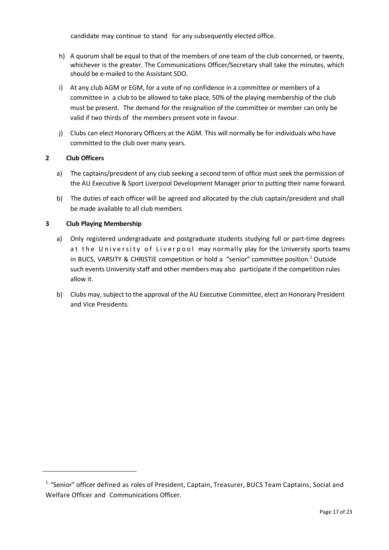candidate may continue to stand for any subsequently elected office.

- h) A quorum shall be equal to that of the members of one team of the club concerned, or twenty, whichever is the greater. The Communications Officer/Secretary shall take the minutes, which should be e-mailed to the Assistant SDO.
- i) At any club AGM or EGM, for a vote of no confidence in a committee or members of a committee in a club to be allowed to take place, 50% of the playing membership of the club must be present. The demand for the resignation of the committee or member can only be valid if two thirds of the members present vote in favour.
- j) Clubs can elect Honorary Officers at the AGM. This will normally be for individuals who have committed to the club over many years.

### **2 Club Officers**

<u>.</u>

- a) The captains/president of any club seeking a second term of office must seek the permission of the AU Executive & Sport Liverpool Development Manager prior to putting their name forward.
- b) The duties of each officer will be agreed and allocated by the club captain/president and shall be made available to all club members

### **3 Club Playing Membership**

- a) Only registered undergraduate and postgraduate students studying full or part-time degrees at the University of Liverpool may normally play for the University sports teams in BUCS, VARSITY & CHRISTIE competition or hold a "senior" committee position.<sup>1</sup> Outside such events University staff and other members may also participate if the competition rules allow it.
- b) Clubs may, subject to the approval of the AU Executive Committee, elect an Honorary President and Vice Presidents.

 $<sup>1</sup>$  "Senior" officer defined as roles of President, Captain, Treasurer, BUCS Team Captains, Social and</sup> Welfare Officer and Communications Officer.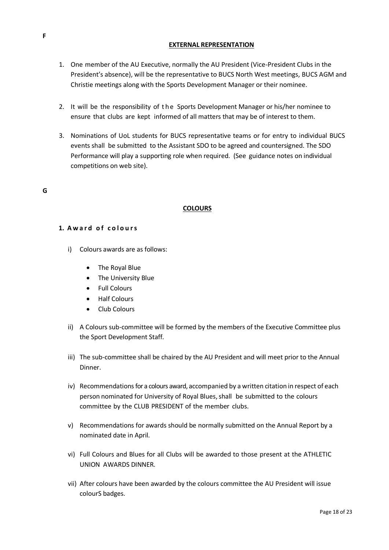#### **EXTERNAL REPRESENTATION**

- 1. One member of the AU Executive, normally the AU President (Vice-President Clubs in the President's absence), will be the representative to BUCS North West meetings, BUCS AGM and Christie meetings along with the Sports Development Manager or their nominee.
- 2. It will be the responsibility of the Sports Development Manager or his/her nominee to ensure that clubs are kept informed of all matters that may be of interest to them.
- 3. Nominations of UoL students for BUCS representative teams or for entry to individual BUCS events shall be submitted to the Assistant SDO to be agreed and countersigned. The SDO Performance will play a supporting role when required. (See guidance notes on individual competitions on web site).

#### **G**

### **COLOURS**

#### 1. Award of colours

- i) Colours awards are as follows:
	- The Royal Blue
	- The University Blue
	- Full Colours
	- Half Colours
	- Club Colours
- ii) A Colours sub-committee will be formed by the members of the Executive Committee plus the Sport Development Staff.
- iii) The sub-committee shall be chaired by the AU President and will meet prior to the Annual Dinner.
- iv) Recommendations for a colours award, accompanied by a written citation in respect of each person nominated for University of Royal Blues, shall be submitted to the colours committee by the CLUB PRESIDENT of the member clubs.
- v) Recommendations for awards should be normally submitted on the Annual Report by a nominated date in April.
- vi) Full Colours and Blues for all Clubs will be awarded to those present at the ATHLETIC UNION AWARDS DINNER.
- vii) After colours have been awarded by the colours committee the AU President will issue colourS badges.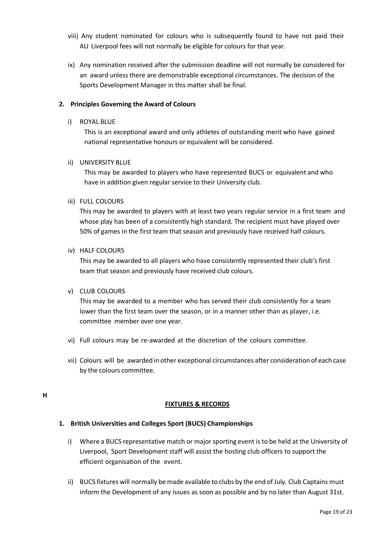- viii) Any student nominated for colours who is subsequently found to have not paid their AU Liverpool fees will not normally be eligible for colours for that year.
- ix) Any nomination received after the submission deadline will not normally be considered for an award unless there are demonstrable exceptional circumstances. The decision of the Sports Development Manager in this matter shall be final.

### **2. Principles Governing the Award of Colours**

i) ROYAL BLUE

This is an exceptional award and only athletes of outstanding merit who have gained national representative honours or equivalent will be considered.

#### ii) UNIVERSITY BLUE

This may be awarded to players who have represented BUCS or equivalent and who have in addition given regular service to their University club.

#### iii) FULL COLOURS

This may be awarded to players with at least two years regular service in a first team and whose play has been of a consistently high standard. The recipient must have played over 50% of games in the first team that season and previously have received half colours.

### iv) HALF COLOURS

This may be awarded to all players who have consistently represented their club's first team that season and previously have received club colours.

#### v) CLUB COLOURS

This may be awarded to a member who has served their club consistently for a team lower than the first team over the season, or in a manner other than as player, i.e. committee member over one year.

- vi) Full colours may be re-awarded at the discretion of the colours committee.
- vii) Colours will be awarded in other exceptional circumstances after consideration of each case by the colours committee.

# **FIXTURES & RECORDS**

# **1. British Universities and Colleges Sport (BUCS) Championships**

- i) Where a BUCS representative match or major sporting event is to be held at the University of Liverpool, Sport Development staff will assist the hosting club officers to support the efficient organisation of the event.
- ii) BUCS fixtures will normally bemade available to clubs by the end of July. Club Captains must inform the Development of any issues as soon as possible and by no later than August 31st.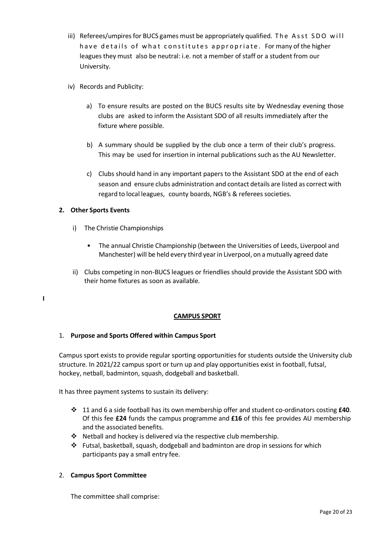- iii) Referees/umpires for BUCS games must be appropriately qualified. The Asst SDO will have details of what constitutes appropriate. Formany of the higher leagues they must also be neutral: i.e. not a member ofstaff or a student from our University.
- iv) Records and Publicity:
	- a) To ensure results are posted on the BUCS results site by Wednesday evening those clubs are asked to inform the Assistant SDO of all results immediately after the fixture where possible.
	- b) A summary should be supplied by the club once a term of their club's progress. This may be used for insertion in internal publications such as the AU Newsletter.
	- c) Clubs should hand in any important papers to the Assistant SDO at the end of each season and ensure clubs administration and contact details are listed as correct with regard to local leagues, county boards, NGB's & referees societies.

# **2. Other Sports Events**

**I**

- i) The Christie Championships
	- The annual Christie Championship (between the Universities of Leeds, Liverpool and Manchester) will be held every third yearin Liverpool, on a mutually agreed date
- ii) Clubs competing in non-BUCS leagues or friendlies should provide the Assistant SDO with their home fixtures as soon as available.

#### **CAMPUS SPORT**

#### 1. **Purpose and Sports Offered within Campus Sport**

Campus sport exists to provide regular sporting opportunities for students outside the University club structure. In 2021/22 campus sport or turn up and play opportunities exist in football, futsal, hockey, netball, badminton, squash, dodgeball and basketball.

It has three payment systems to sustain its delivery:

- ❖ 11 and 6 a side football has its own membership offer and student co-ordinators costing **£40**. Of this fee **£24** funds the campus programme and **£16** of this fee provides AU membership and the associated benefits.
- ❖ Netball and hockey is delivered via the respective club membership.
- ❖ Futsal, basketball, squash, dodgeball and badminton are drop in sessions for which participants pay a small entry fee.

#### 2. **Campus Sport Committee**

The committee shall comprise: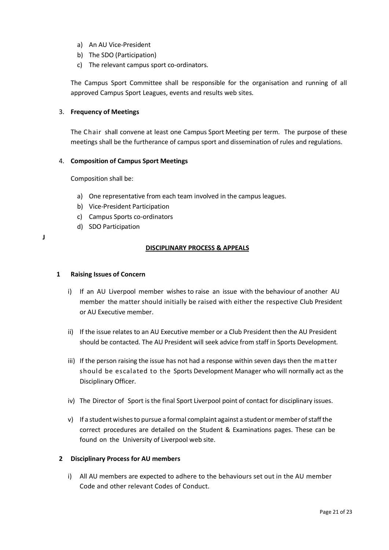- a) An AU Vice-President
- b) The SDO (Participation)
- c) The relevant campus sport co-ordinators.

The Campus Sport Committee shall be responsible for the organisation and running of all approved Campus Sport Leagues, events and results web sites.

#### 3. **Frequency of Meetings**

The Chair shall convene at least one Campus Sport Meeting per term. The purpose of these meetings shall be the furtherance of campus sport and dissemination of rules and regulations.

#### 4. **Composition of Campus Sport Meetings**

Composition shall be:

- a) One representative from each team involved in the campus leagues.
- b) Vice-President Participation
- c) Campus Sports co-ordinators
- d) SDO Participation
- **J**

#### **DISCIPLINARY PROCESS & APPEALS**

#### **1 Raising Issues of Concern**

- i) If an AU Liverpool member wishes to raise an issue with the behaviour of another AU member the matter should initially be raised with either the respective Club President or AU Executive member.
- ii) If the issue relates to an AU Executive member or a Club President then the AU President should be contacted. The AU President will seek advice from staff in Sports Development.
- iii) If the person raising the issue has not had a response within seven days then the matter should be escalated to the Sports Development Manager who will normally act as the Disciplinary Officer.
- iv) The Director of Sport is the final Sport Liverpool point of contact for disciplinary issues.
- v) If a student wishes to pursue a formal complaint against a student or member of staff the correct procedures are detailed on the Student & Examinations pages. These can be found on the University of Liverpool web site.

#### **2 Disciplinary Process for AU members**

i) All AU members are expected to adhere to the behaviours set out in the AU member Code and other relevant Codes of Conduct.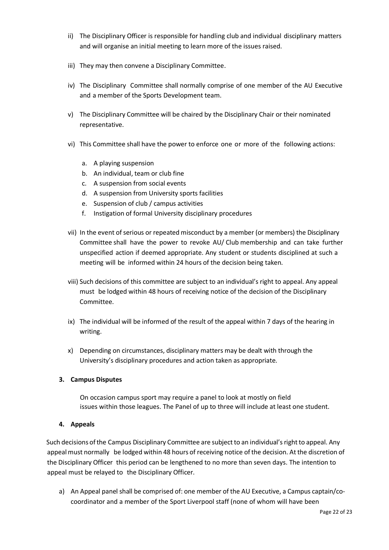- ii) The Disciplinary Officer is responsible for handling club and individual disciplinary matters and will organise an initial meeting to learn more of the issues raised.
- iii) They may then convene a Disciplinary Committee.
- iv) The Disciplinary Committee shall normally comprise of one member of the AU Executive and a member of the Sports Development team.
- v) The Disciplinary Committee will be chaired by the Disciplinary Chair or their nominated representative.
- vi) This Committee shall have the power to enforce one or more of the following actions:
	- a. A playing suspension
	- b. An individual, team or club fine
	- c. A suspension from social events
	- d. A suspension from University sports facilities
	- e. Suspension of club / campus activities
	- f. Instigation of formal University disciplinary procedures
- vii) In the event of serious or repeated misconduct by a member (or members) the Disciplinary Committee shall have the power to revoke AU/ Club membership and can take further unspecified action if deemed appropriate. Any student or students disciplined at such a meeting will be informed within 24 hours of the decision being taken.
- viii) Such decisions of this committee are subject to an individual's right to appeal. Any appeal must be lodged within 48 hours of receiving notice of the decision of the Disciplinary Committee.
- ix) The individual will be informed of the result of the appeal within 7 days of the hearing in writing.
- x) Depending on circumstances, disciplinary matters may be dealt with through the University's disciplinary procedures and action taken as appropriate.

#### **3. Campus Disputes**

 On occasion campus sport may require a panel to look at mostly on field issues within those leagues. The Panel of up to three will include at least one student.

#### **4. Appeals**

Such decisions of the Campus Disciplinary Committee are subject to an individual's right to appeal. Any appeal must normally be lodged within 48 hours of receiving notice of the decision. Atthe discretion of the Disciplinary Officer this period can be lengthened to no more than seven days. The intention to appeal must be relayed to the Disciplinary Officer.

a) An Appeal panel shall be comprised of: one member of the AU Executive, a Campus captain/cocoordinator and a member of the Sport Liverpool staff (none of whom will have been